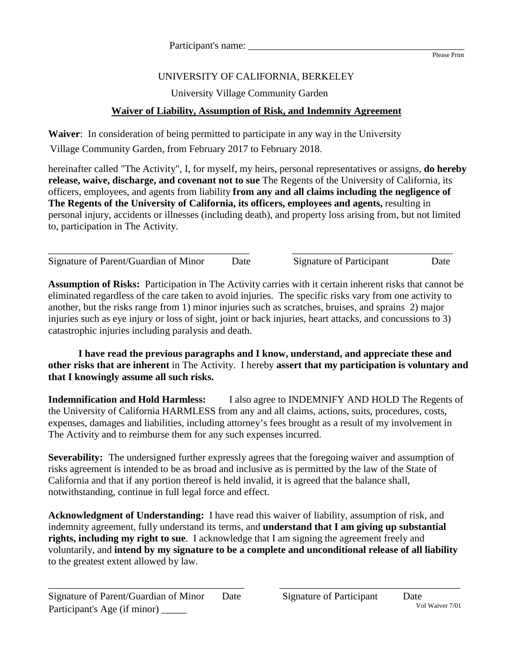## Please Print

## UNIVERSITY OF CALIFORNIA, BERKELEY

University Village Community Garden

## **Waiver of Liability, Assumption of Risk, and Indemnity Agreement**

**Waiver**: In consideration of being permitted to participate in any way in the University Village Community Garden, from February 2017 to February 2018.

hereinafter called "The Activity", I, for myself, my heirs, personal representatives or assigns, **do hereby release, waive, discharge, and covenant not to sue** The Regents of the University of California, its officers, employees, and agents from liability **from any and all claims including the negligence of The Regents of the University of California, its officers, employees and agents,** resulting in personal injury, accidents or illnesses (including death), and property loss arising from, but not limited to, participation in The Activity.

\_\_\_\_\_\_\_\_\_\_\_\_\_\_\_\_\_\_\_\_\_\_\_\_\_\_\_\_\_\_\_\_\_\_\_\_\_\_\_\_ \_\_\_\_\_\_\_\_\_\_\_\_\_\_\_\_\_\_\_\_\_\_\_\_\_\_\_\_\_\_\_\_ Signature of Parent/Guardian of Minor Date Signature of Participant Date

**Assumption of Risks:** Participation in The Activity carries with it certain inherent risks that cannot be eliminated regardless of the care taken to avoid injuries. The specific risks vary from one activity to another, but the risks range from 1) minor injuries such as scratches, bruises, and sprains 2) major injuries such as eye injury or loss of sight, joint or back injuries, heart attacks, and concussions to 3) catastrophic injuries including paralysis and death.

**I have read the previous paragraphs and I know, understand, and appreciate these and other risks that are inherent** in The Activity. I hereby **assert that my participation is voluntary and that I knowingly assume all such risks.**

**Indemnification and Hold Harmless:** I also agree to INDEMNIFY AND HOLD The Regents of the University of California HARMLESS from any and all claims, actions, suits, procedures, costs, expenses, damages and liabilities, including attorney's fees brought as a result of my involvement in The Activity and to reimburse them for any such expenses incurred.

**Severability:** The undersigned further expressly agrees that the foregoing waiver and assumption of risks agreement is intended to be as broad and inclusive as is permitted by the law of the State of California and that if any portion thereof is held invalid, it is agreed that the balance shall, notwithstanding, continue in full legal force and effect.

**Acknowledgment of Understanding:** I have read this waiver of liability, assumption of risk, and indemnity agreement, fully understand its terms, and **understand that I am giving up substantial rights, including my right to sue**. I acknowledge that I am signing the agreement freely and voluntarily, and **intend by my signature to be a complete and unconditional release of all liability** to the greatest extent allowed by law.

\_\_\_\_\_\_\_\_\_\_\_\_\_\_\_\_\_\_\_\_\_\_\_\_\_\_\_\_\_\_\_\_\_\_\_\_\_\_\_ \_\_\_\_\_\_\_\_\_\_\_\_\_\_\_\_\_\_\_\_\_\_\_\_\_\_\_\_\_\_\_\_\_\_\_\_